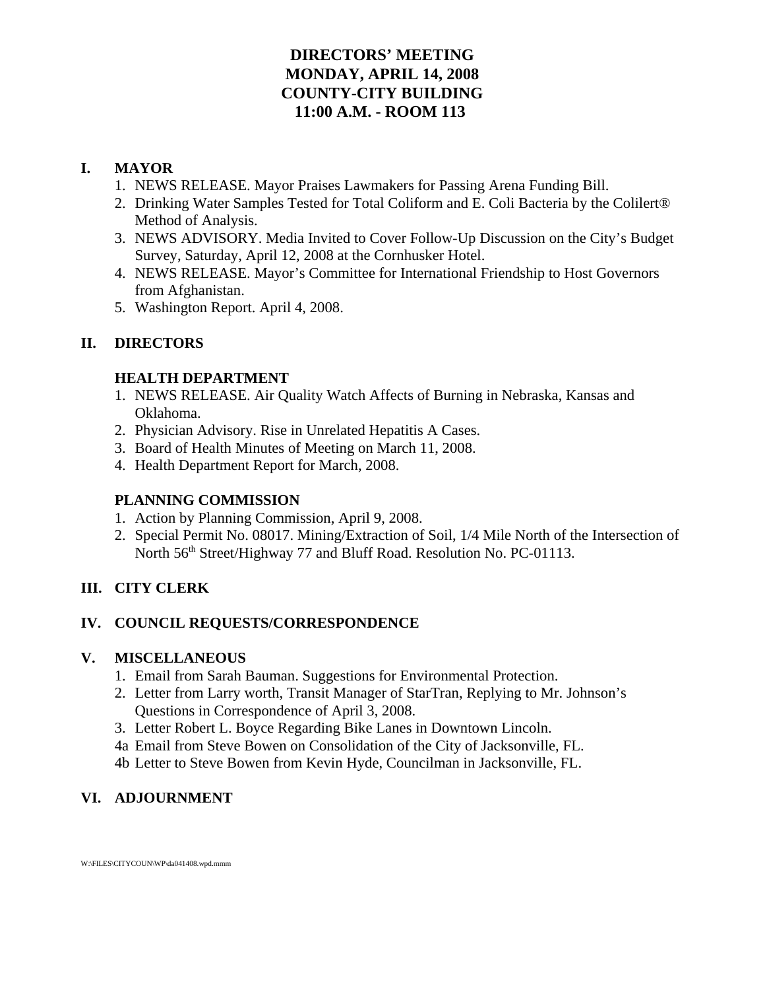# **DIRECTORS' MEETING MONDAY, APRIL 14, 2008 COUNTY-CITY BUILDING 11:00 A.M. - ROOM 113**

# **I. MAYOR**

- 1. NEWS RELEASE. Mayor Praises Lawmakers for Passing Arena Funding Bill.
- 2. Drinking Water Samples Tested for Total Coliform and E. Coli Bacteria by the Colilert® Method of Analysis.
- 3. NEWS ADVISORY. Media Invited to Cover Follow-Up Discussion on the City's Budget Survey, Saturday, April 12, 2008 at the Cornhusker Hotel.
- 4. NEWS RELEASE. Mayor's Committee for International Friendship to Host Governors from Afghanistan.
- 5. Washington Report. April 4, 2008.

# **II. DIRECTORS**

## **HEALTH DEPARTMENT**

- 1. NEWS RELEASE. Air Quality Watch Affects of Burning in Nebraska, Kansas and Oklahoma.
- 2. Physician Advisory. Rise in Unrelated Hepatitis A Cases.
- 3. Board of Health Minutes of Meeting on March 11, 2008.
- 4. Health Department Report for March, 2008.

# **PLANNING COMMISSION**

- 1. Action by Planning Commission, April 9, 2008.
- 2. Special Permit No. 08017. Mining/Extraction of Soil, 1/4 Mile North of the Intersection of North 56<sup>th</sup> Street/Highway 77 and Bluff Road. Resolution No. PC-01113.

# **III. CITY CLERK**

# **IV. COUNCIL REQUESTS/CORRESPONDENCE**

# **V. MISCELLANEOUS**

- 1. Email from Sarah Bauman. Suggestions for Environmental Protection.
- 2. Letter from Larry worth, Transit Manager of StarTran, Replying to Mr. Johnson's Questions in Correspondence of April 3, 2008.
- 3. Letter Robert L. Boyce Regarding Bike Lanes in Downtown Lincoln.
- 4a Email from Steve Bowen on Consolidation of the City of Jacksonville, FL.
- 4b Letter to Steve Bowen from Kevin Hyde, Councilman in Jacksonville, FL.

# **VI. ADJOURNMENT**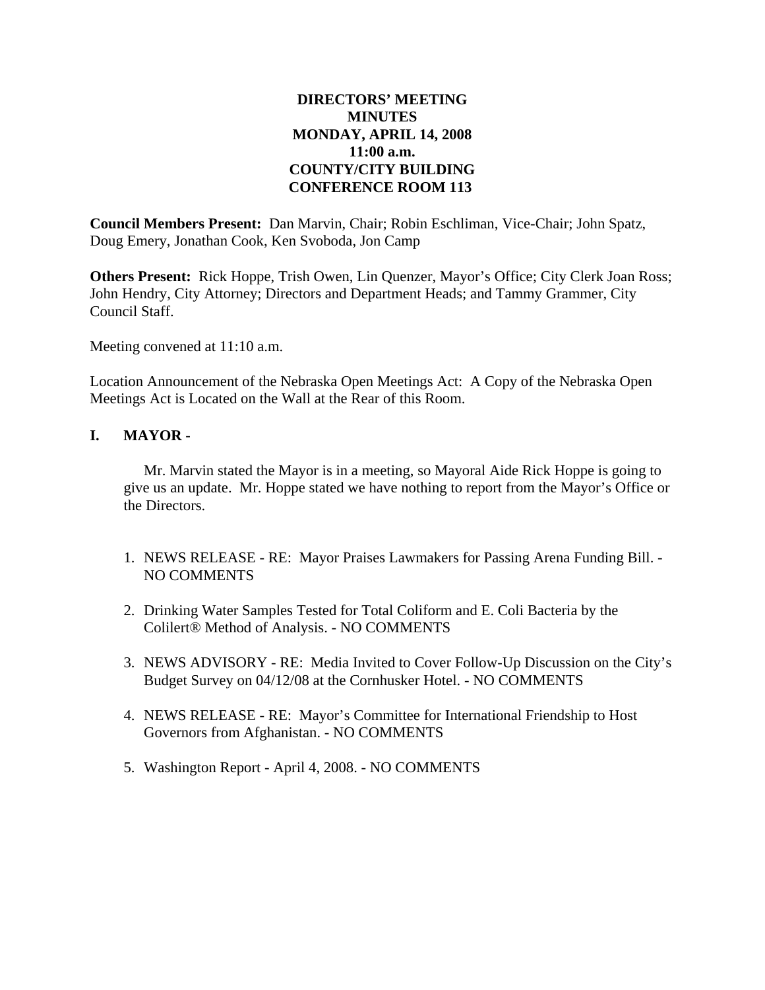### **DIRECTORS' MEETING MINUTES MONDAY, APRIL 14, 2008 11:00 a.m. COUNTY/CITY BUILDING CONFERENCE ROOM 113**

**Council Members Present:** Dan Marvin, Chair; Robin Eschliman, Vice-Chair; John Spatz, Doug Emery, Jonathan Cook, Ken Svoboda, Jon Camp

**Others Present:** Rick Hoppe, Trish Owen, Lin Quenzer, Mayor's Office; City Clerk Joan Ross; John Hendry, City Attorney; Directors and Department Heads; and Tammy Grammer, City Council Staff.

Meeting convened at 11:10 a.m.

Location Announcement of the Nebraska Open Meetings Act: A Copy of the Nebraska Open Meetings Act is Located on the Wall at the Rear of this Room.

#### **I. MAYOR** -

Mr. Marvin stated the Mayor is in a meeting, so Mayoral Aide Rick Hoppe is going to give us an update. Mr. Hoppe stated we have nothing to report from the Mayor's Office or the Directors.

- 1. NEWS RELEASE RE: Mayor Praises Lawmakers for Passing Arena Funding Bill. NO COMMENTS
- 2. Drinking Water Samples Tested for Total Coliform and E. Coli Bacteria by the Colilert® Method of Analysis. - NO COMMENTS
- 3. NEWS ADVISORY RE: Media Invited to Cover Follow-Up Discussion on the City's Budget Survey on 04/12/08 at the Cornhusker Hotel. - NO COMMENTS
- 4. NEWS RELEASE RE: Mayor's Committee for International Friendship to Host Governors from Afghanistan. - NO COMMENTS
- 5. Washington Report April 4, 2008. NO COMMENTS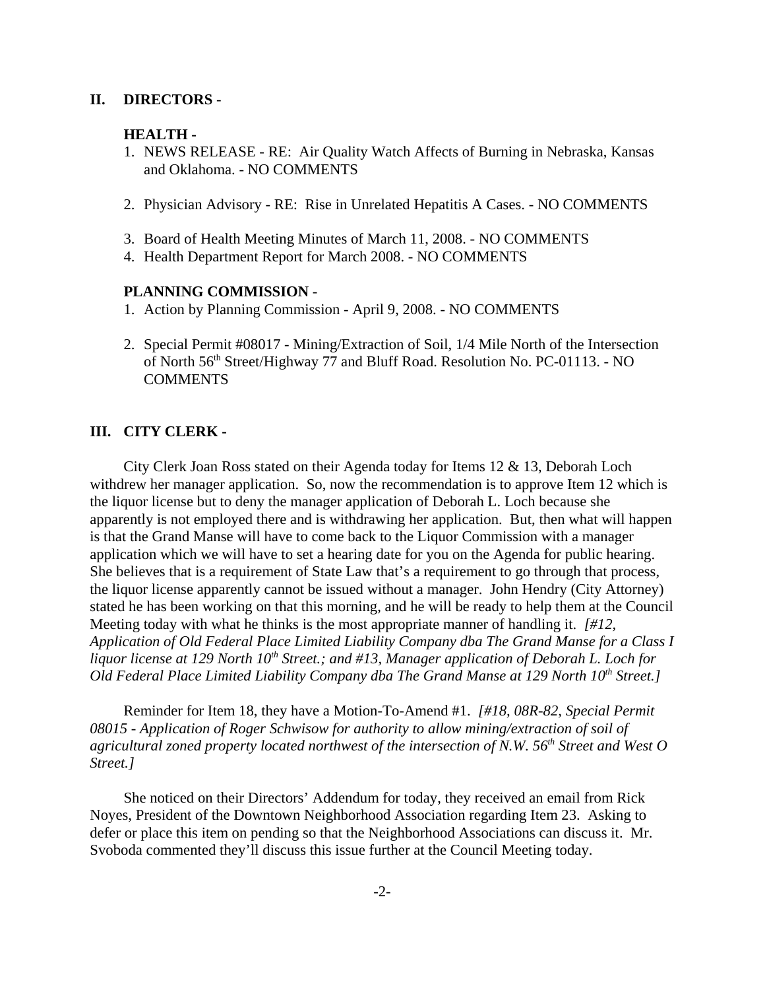#### **II. DIRECTORS** -

#### **HEALTH -**

- 1. NEWS RELEASE RE: Air Quality Watch Affects of Burning in Nebraska, Kansas and Oklahoma. - NO COMMENTS
- 2. Physician Advisory RE: Rise in Unrelated Hepatitis A Cases. NO COMMENTS
- 3. Board of Health Meeting Minutes of March 11, 2008. NO COMMENTS
- 4. Health Department Report for March 2008. NO COMMENTS

#### **PLANNING COMMISSION** -

- 1. Action by Planning Commission April 9, 2008. NO COMMENTS
- 2. Special Permit #08017 Mining/Extraction of Soil, 1/4 Mile North of the Intersection of North 56th Street/Highway 77 and Bluff Road. Resolution No. PC-01113. - NO **COMMENTS**

#### **III. CITY CLERK -**

City Clerk Joan Ross stated on their Agenda today for Items 12 & 13, Deborah Loch withdrew her manager application. So, now the recommendation is to approve Item 12 which is the liquor license but to deny the manager application of Deborah L. Loch because she apparently is not employed there and is withdrawing her application. But, then what will happen is that the Grand Manse will have to come back to the Liquor Commission with a manager application which we will have to set a hearing date for you on the Agenda for public hearing. She believes that is a requirement of State Law that's a requirement to go through that process, the liquor license apparently cannot be issued without a manager. John Hendry (City Attorney) stated he has been working on that this morning, and he will be ready to help them at the Council Meeting today with what he thinks is the most appropriate manner of handling it. *[#12, Application of Old Federal Place Limited Liability Company dba The Grand Manse for a Class I liquor license at 129 North 10<sup>th</sup> Street.; and #13, Manager application of Deborah L. Loch for Old Federal Place Limited Liability Company dba The Grand Manse at 129 North 10<sup>th</sup> Street.]* 

Reminder for Item 18, they have a Motion-To-Amend #1. *[#18, 08R-82, Special Permit 08015 - Application of Roger Schwisow for authority to allow mining/extraction of soil of agricultural zoned property located northwest of the intersection of N.W. 56th Street and West O Street.]* 

She noticed on their Directors' Addendum for today, they received an email from Rick Noyes, President of the Downtown Neighborhood Association regarding Item 23. Asking to defer or place this item on pending so that the Neighborhood Associations can discuss it. Mr. Svoboda commented they'll discuss this issue further at the Council Meeting today.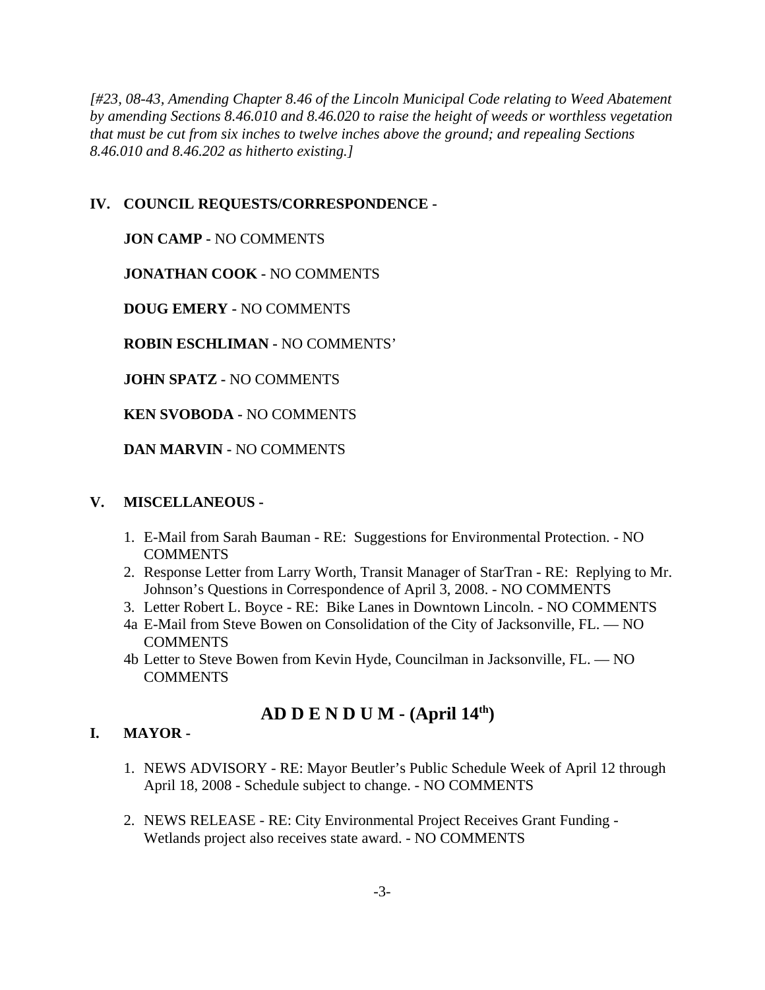*[#23, 08-43, Amending Chapter 8.46 of the Lincoln Municipal Code relating to Weed Abatement by amending Sections 8.46.010 and 8.46.020 to raise the height of weeds or worthless vegetation that must be cut from six inches to twelve inches above the ground; and repealing Sections 8.46.010 and 8.46.202 as hitherto existing.]*

# **IV. COUNCIL REQUESTS/CORRESPONDENCE -**

**JON CAMP -** NO COMMENTS

**JONATHAN COOK -** NO COMMENTS

**DOUG EMERY -** NO COMMENTS

**ROBIN ESCHLIMAN -** NO COMMENTS'

**JOHN SPATZ -** NO COMMENTS

**KEN SVOBODA -** NO COMMENTS

**DAN MARVIN -** NO COMMENTS

### **V. MISCELLANEOUS -**

- 1. E-Mail from Sarah Bauman RE: Suggestions for Environmental Protection. NO COMMENTS
- 2. Response Letter from Larry Worth, Transit Manager of StarTran RE: Replying to Mr. Johnson's Questions in Correspondence of April 3, 2008. - NO COMMENTS
- 3. Letter Robert L. Boyce RE: Bike Lanes in Downtown Lincoln. NO COMMENTS
- 4a E-Mail from Steve Bowen on Consolidation of the City of Jacksonville, FL. NO COMMENTS
- 4b Letter to Steve Bowen from Kevin Hyde, Councilman in Jacksonville, FL. NO **COMMENTS**

# **AD D E N D U M - (April 14th)**

# **I. MAYOR -**

- 1. NEWS ADVISORY RE: Mayor Beutler's Public Schedule Week of April 12 through April 18, 2008 - Schedule subject to change. - NO COMMENTS
- 2. NEWS RELEASE RE: City Environmental Project Receives Grant Funding Wetlands project also receives state award. - NO COMMENTS